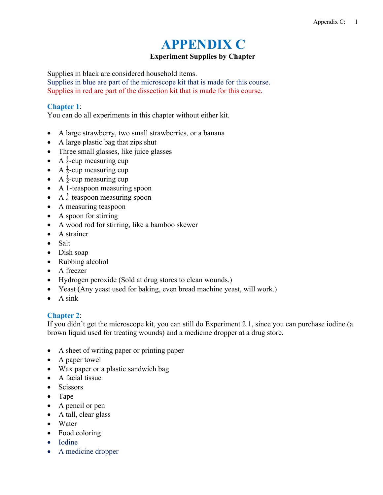# **APPENDIX C**

## **Experiment Supplies by Chapter**

Supplies in black are considered household items.

Supplies in blue are part of the microscope kit that is made for this course. Supplies in red are part of the dissection kit that is made for this course.

#### **Chapter 1**:

You can do all experiments in this chapter without either kit.

- A large strawberry, two small strawberries, or a banana
- A large plastic bag that zips shut
- Three small glasses, like juice glasses
- A  $\frac{1}{4}$ -cup measuring cup
- A  $\frac{1}{3}$ -cup measuring cup
- A  $\frac{1}{2}$ -cup measuring cup
- A 1-teaspoon measuring spoon
- A  $\frac{1}{4}$ -teaspoon measuring spoon
- A measuring teaspoon
- A spoon for stirring
- A wood rod for stirring, like a bamboo skewer
- A strainer
- Salt
- Dish soap
- Rubbing alcohol
- A freezer
- Hydrogen peroxide (Sold at drug stores to clean wounds.)
- Yeast (Any yeast used for baking, even bread machine yeast, will work.)
- $\bullet$  A sink

#### **Chapter 2**:

If you didn't get the microscope kit, you can still do Experiment 2.1, since you can purchase iodine (a brown liquid used for treating wounds) and a medicine dropper at a drug store.

- A sheet of writing paper or printing paper
- A paper towel
- Wax paper or a plastic sandwich bag
- $\bullet$  A facial tissue
- Scissors
- Tape
- A pencil or pen
- A tall, clear glass
- Water
- Food coloring
- Iodine
- A medicine dropper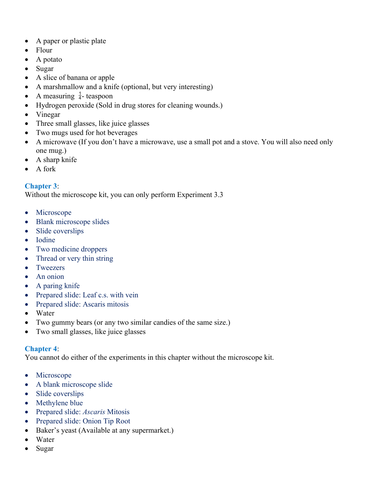- A paper or plastic plate
- Flour
- $\bullet$  A potato
- Sugar
- A slice of banana or apple
- A marshmallow and a knife (optional, but very interesting)
- A measuring  $\frac{1}{4}$  teaspoon
- Hydrogen peroxide (Sold in drug stores for cleaning wounds.)
- Vinegar
- Three small glasses, like juice glasses
- Two mugs used for hot beverages
- A microwave (If you don't have a microwave, use a small pot and a stove. You will also need only one mug.)
- A sharp knife
- A fork

# **Chapter 3**:

Without the microscope kit, you can only perform Experiment 3.3

- Microscope
- Blank microscope slides
- Slide coverslips
- Iodine
- Two medicine droppers
- Thread or very thin string
- Tweezers
- An onion
- A paring knife
- Prepared slide: Leaf c.s. with vein
- Prepared slide: Ascaris mitosis
- Water
- Two gummy bears (or any two similar candies of the same size.)
- Two small glasses, like juice glasses

## **Chapter 4**:

You cannot do either of the experiments in this chapter without the microscope kit.

- Microscope
- A blank microscope slide
- Slide coverslips
- Methylene blue
- Prepared slide: *Ascaris* Mitosis
- Prepared slide: Onion Tip Root
- Baker's yeast (Available at any supermarket.)
- Water
- Sugar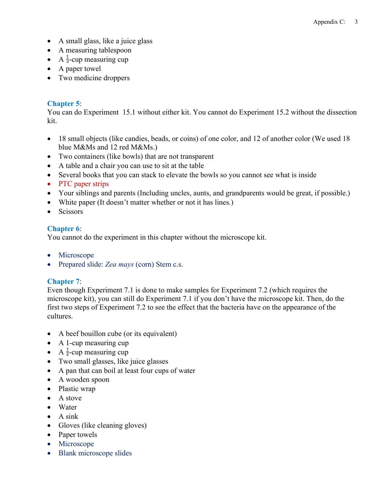- A small glass, like a juice glass
- A measuring tablespoon
- A  $\frac{1}{3}$ -cup measuring cup
- A paper towel
- Two medicine droppers

## **Chapter 5**:

You can do Experiment 15.1 without either kit. You cannot do Experiment 15.2 without the dissection kit.

- 18 small objects (like candies, beads, or coins) of one color, and 12 of another color (We used 18 blue M&Ms and 12 red M&Ms.)
- Two containers (like bowls) that are not transparent
- A table and a chair you can use to sit at the table
- Several books that you can stack to elevate the bowls so you cannot see what is inside
- PTC paper strips
- Your siblings and parents (Including uncles, aunts, and grandparents would be great, if possible.)
- White paper (It doesn't matter whether or not it has lines.)
- Scissors

# **Chapter 6**:

You cannot do the experiment in this chapter without the microscope kit.

- Microscope
- Prepared slide: *Zea mays* (corn) Stem c.s.

# **Chapter 7**:

Even though Experiment 7.1 is done to make samples for Experiment 7.2 (which requires the microscope kit), you can still do Experiment 7.1 if you don't have the microscope kit. Then, do the first two steps of Experiment 7.2 to see the effect that the bacteria have on the appearance of the cultures.

- A beef bouillon cube (or its equivalent)
- A 1-cup measuring cup
- A  $\frac{1}{2}$ -cup measuring cup
- Two small glasses, like juice glasses
- A pan that can boil at least four cups of water
- A wooden spoon
- Plastic wrap
- A stove
- Water
- $\bullet$  A sink
- Gloves (like cleaning gloves)
- Paper towels
- Microscope
- Blank microscope slides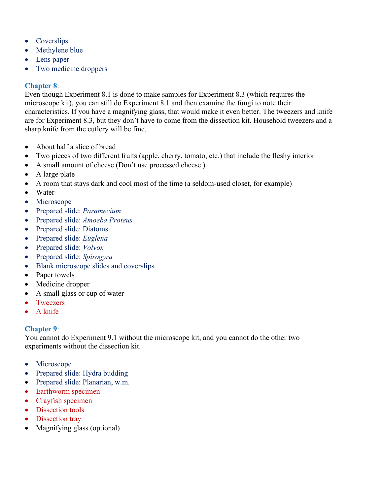- Coverslips
- Methylene blue
- Lens paper
- Two medicine droppers

# **Chapter 8**:

Even though Experiment 8.1 is done to make samples for Experiment 8.3 (which requires the microscope kit), you can still do Experiment 8.1 and then examine the fungi to note their characteristics. If you have a magnifying glass, that would make it even better. The tweezers and knife are for Experiment 8.3, but they don't have to come from the dissection kit. Household tweezers and a sharp knife from the cutlery will be fine.

- About half a slice of bread
- Two pieces of two different fruits (apple, cherry, tomato, etc.) that include the fleshy interior
- A small amount of cheese (Don't use processed cheese.)
- A large plate
- A room that stays dark and cool most of the time (a seldom-used closet, for example)
- Water
- Microscope
- Prepared slide: *Paramecium*
- Prepared slide: *Amoeba Proteus*
- Prepared slide: Diatoms
- Prepared slide: *Euglena*
- Prepared slide: *Volvox*
- Prepared slide: *Spirogyra*
- Blank microscope slides and coverslips
- Paper towels
- Medicine dropper
- A small glass or cup of water
- Tweezers
- A knife

# **Chapter 9**:

You cannot do Experiment 9.1 without the microscope kit, and you cannot do the other two experiments without the dissection kit.

- Microscope
- Prepared slide: Hydra budding
- Prepared slide: Planarian, w.m.
- Earthworm specimen
- Crayfish specimen
- Dissection tools
- Dissection tray
- Magnifying glass (optional)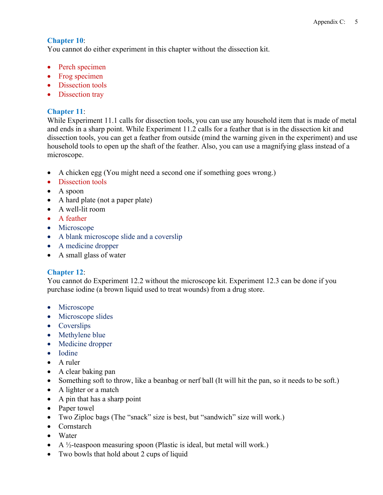## **Chapter 10**:

You cannot do either experiment in this chapter without the dissection kit.

- Perch specimen
- Frog specimen
- Dissection tools
- Dissection tray

# **Chapter 11**:

While Experiment 11.1 calls for dissection tools, you can use any household item that is made of metal and ends in a sharp point. While Experiment 11.2 calls for a feather that is in the dissection kit and dissection tools, you can get a feather from outside (mind the warning given in the experiment) and use household tools to open up the shaft of the feather. Also, you can use a magnifying glass instead of a microscope.

- A chicken egg (You might need a second one if something goes wrong.)
- Dissection tools
- A spoon
- A hard plate (not a paper plate)
- A well-lit room
- A feather
- Microscope
- A blank microscope slide and a coverslip
- A medicine dropper
- A small glass of water

# **Chapter 12**:

You cannot do Experiment 12.2 without the microscope kit. Experiment 12.3 can be done if you purchase iodine (a brown liquid used to treat wounds) from a drug store.

- Microscope
- Microscope slides
- Coverslips
- Methylene blue
- Medicine dropper
- Iodine
- A ruler
- A clear baking pan
- Something soft to throw, like a beanbag or nerf ball (It will hit the pan, so it needs to be soft.)
- A lighter or a match
- A pin that has a sharp point
- Paper towel
- Two Ziploc bags (The "snack" size is best, but "sandwich" size will work.)
- Cornstarch
- Water
- $\bullet$  A ½-teaspoon measuring spoon (Plastic is ideal, but metal will work.)
- Two bowls that hold about 2 cups of liquid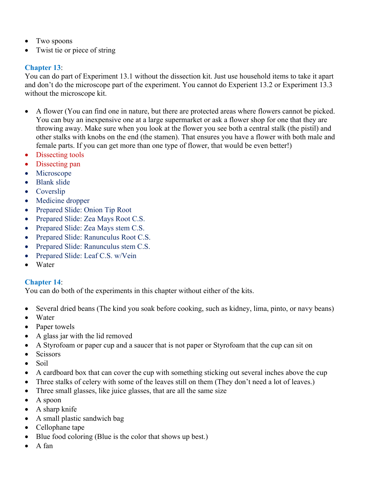- Two spoons
- Twist tie or piece of string

## **Chapter 13**:

You can do part of Experiment 13.1 without the dissection kit. Just use household items to take it apart and don't do the microscope part of the experiment. You cannot do Experient 13.2 or Experiment 13.3 without the microscope kit.

- A flower (You can find one in nature, but there are protected areas where flowers cannot be picked. You can buy an inexpensive one at a large supermarket or ask a flower shop for one that they are throwing away. Make sure when you look at the flower you see both a central stalk (the pistil) and other stalks with knobs on the end (the stamen). That ensures you have a flower with both male and female parts. If you can get more than one type of flower, that would be even better!)
- Dissecting tools
- Dissecting pan
- Microscope
- Blank slide
- Coverslip
- Medicine dropper
- Prepared Slide: Onion Tip Root
- Prepared Slide: Zea Mays Root C.S.
- Prepared Slide: Zea Mays stem C.S.
- Prepared Slide: Ranunculus Root C.S.
- Prepared Slide: Ranunculus stem C.S.
- Prepared Slide: Leaf C.S. w/Vein
- Water

## **Chapter 14**:

You can do both of the experiments in this chapter without either of the kits.

- Several dried beans (The kind you soak before cooking, such as kidney, lima, pinto, or navy beans)
- Water
- Paper towels
- A glass jar with the lid removed
- A Styrofoam or paper cup and a saucer that is not paper or Styrofoam that the cup can sit on
- Scissors
- $\bullet$  Soil
- A cardboard box that can cover the cup with something sticking out several inches above the cup
- Three stalks of celery with some of the leaves still on them (They don't need a lot of leaves.)
- Three small glasses, like juice glasses, that are all the same size
- A spoon
- A sharp knife
- A small plastic sandwich bag
- Cellophane tape
- Blue food coloring (Blue is the color that shows up best.)
- $\bullet$  A fan